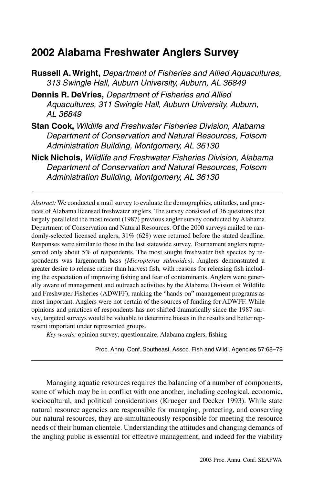# **2002 Alabama Freshwater Anglers Survey**

- **Russell A. Wright,** Department of Fisheries and Allied Aquacultures, 313 Swingle Hall, Auburn University, Auburn, AL 36849
- **Dennis R. DeVries,** Department of Fisheries and Allied Aquacultures, 311 Swingle Hall, Auburn University, Auburn, AL 36849
- **Stan Cook,** Wildlife and Freshwater Fisheries Division, Alabama Department of Conservation and Natural Resources, Folsom Administration Building, Montgomery, AL 36130
- **Nick Nichols,** Wildlife and Freshwater Fisheries Division, Alabama Department of Conservation and Natural Resources, Folsom Administration Building, Montgomery, AL 36130

*Abstract:* We conducted a mail survey to evaluate the demographics, attitudes, and practices of Alabama licensed freshwater anglers. The survey consisted of 36 questions that largely paralleled the most recent (1987) previous angler survey conducted by Alabama Department of Conservation and Natural Resources. Of the 2000 surveys mailed to randomly-selected licensed anglers, 31% (628) were returned before the stated deadline. Responses were similar to those in the last statewide survey. Tournament anglers represented only about 5% of respondents. The most sought freshwater fish species by respondents was largemouth bass *(Micropterus salmoides)*. Anglers demonstrated a greater desire to release rather than harvest fish, with reasons for releasing fish including the expectation of improving fishing and fear of contaminants. Anglers were generally aware of management and outreach activities by the Alabama Division of Wildlife and Freshwater Fisheries (ADWFF), ranking the "hands-on" management programs as most important. Anglers were not certain of the sources of funding for ADWFF. While opinions and practices of respondents has not shifted dramatically since the 1987 survey, targeted surveys would be valuable to determine biases in the results and better represent important under represented groups.

*Key words:* opinion survey, questionnaire, Alabama anglers, fishing

Proc. Annu. Conf. Southeast. Assoc. Fish and Wildl. Agencies 57:68–79

Managing aquatic resources requires the balancing of a number of components, some of which may be in conflict with one another, including ecological, economic, sociocultural, and political considerations (Krueger and Decker 1993). While state natural resource agencies are responsible for managing, protecting, and conserving our natural resources, they are simultaneously responsible for meeting the resource needs of their human clientele. Understanding the attitudes and changing demands of the angling public is essential for effective management, and indeed for the viability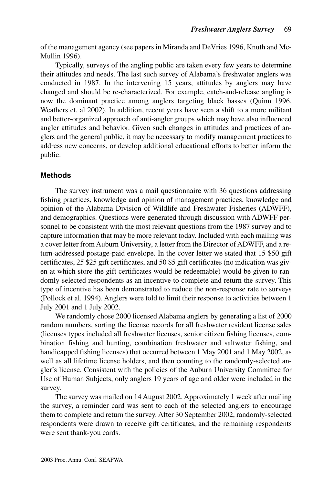of the management agency (see papers in Miranda and DeVries 1996, Knuth and Mc-Mullin 1996).

Typically, surveys of the angling public are taken every few years to determine their attitudes and needs. The last such survey of Alabama's freshwater anglers was conducted in 1987. In the intervening 15 years, attitudes by anglers may have changed and should be re-characterized. For example, catch-and-release angling is now the dominant practice among anglers targeting black basses (Quinn 1996, Weathers et. al 2002). In addition, recent years have seen a shift to a more militant and better-organized approach of anti-angler groups which may have also influenced angler attitudes and behavior. Given such changes in attitudes and practices of anglers and the general public, it may be necessary to modify management practices to address new concerns, or develop additional educational efforts to better inform the public.

# **Methods**

The survey instrument was a mail questionnaire with 36 questions addressing fishing practices, knowledge and opinion of management practices, knowledge and opinion of the Alabama Division of Wildlife and Freshwater Fisheries (ADWFF), and demographics. Questions were generated through discussion with ADWFF personnel to be consistent with the most relevant questions from the 1987 survey and to capture information that may be more relevant today. Included with each mailing was a cover letter from Auburn University, a letter from the Director of ADWFF, and a return-addressed postage-paid envelope. In the cover letter we stated that 15 \$50 gift certificates, 25 \$25 gift certificates, and 50 \$5 gift certificates (no indication was given at which store the gift certificates would be redeemable) would be given to randomly-selected respondents as an incentive to complete and return the survey. This type of incentive has been demonstrated to reduce the non-response rate to surveys (Pollock et al. 1994). Anglers were told to limit their response to activities between 1 July 2001 and 1 July 2002.

We randomly chose 2000 licensed Alabama anglers by generating a list of 2000 random numbers, sorting the license records for all freshwater resident license sales (licenses types included all freshwater licenses, senior citizen fishing licenses, combination fishing and hunting, combination freshwater and saltwater fishing, and handicapped fishing licenses) that occurred between 1 May 2001 and 1 May 2002, as well as all lifetime license holders, and then counting to the randomly-selected angler's license. Consistent with the policies of the Auburn University Committee for Use of Human Subjects, only anglers 19 years of age and older were included in the survey.

The survey was mailed on 14 August 2002. Approximately 1 week after mailing the survey, a reminder card was sent to each of the selected anglers to encourage them to complete and return the survey. After 30 September 2002, randomly-selected respondents were drawn to receive gift certificates, and the remaining respondents were sent thank-you cards.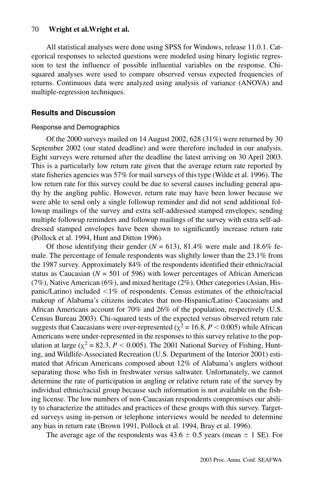#### 70 **Wright et al.Wright et al.**

All statistical analyses were done using SPSS for Windows, release 11.0.1. Categorical responses to selected questions were modeled using binary logistic regression to test the influence of possible influential variables on the response. Chisquared analyses were used to compare observed versus expected frequencies of returns. Continuous data were analyzed using analysis of variance (ANOVA) and multiple-regression techniques.

#### **Results and Discussion**

#### Response and Demographics

Of the 2000 surveys mailed on 14 August 2002, 628 (31%) were returned by 30 September 2002 (our stated deadline) and were therefore included in our analysis. Eight surveys were returned after the deadline the latest arriving on 30 April 2003. This is a particularly low return rate given that the average return rate reported by state fisheries agencies was 57% for mail surveys of this type (Wilde et al. 1996). The low return rate for this survey could be due to several causes including general apathy by the angling public. However, return rate may have been lower because we were able to send only a single followup reminder and did not send additional followup mailings of the survey and extra self-addressed stamped envelopes; sending multiple followup reminders and followup mailings of the survey with extra self-addressed stamped envelopes have been shown to significantly increase return rate (Pollock et al. 1994, Hunt and Ditton 1996).

Of those identifying their gender  $(N = 613)$ , 81.4% were male and 18.6% female. The percentage of female respondents was slightly lower than the 23.1% from the 1987 survey. Approximately 84% of the respondents identified their ethnic/racial status as Caucasian  $(N = 501$  of 596) with lower percentages of African American (7%), Native American (6%), and mixed heritage (2%). Other categories (Asian, Hispanic/Latino) included  $\langle 1\% \rangle$  of respondents. Census estimates of the ethnic/racial makeup of Alabama's citizens indicates that non-Hispanic/Latino Caucasians and African Americans account for 70% and 26% of the population, respectively (U.S. Census Bureau 2003). Chi-squared tests of the expected versus observed return rate suggests that Caucasians were over-represented ( $\chi^2$  = 16.8, *P* < 0.005) while African Americans were under-represented in the responses to this survey relative to the population at large ( $\chi^2$  = 82.3, *P* < 0.005). The 2001 National Survey of Fishing, Hunting, and Wildlife-Associated Recreation (U.S. Department of the Interior 2001) estimated that African Americans composed about 12% of Alabama's anglers without separating those who fish in freshwater versus saltwater. Unfortunately, we cannot determine the rate of participation in angling or relative return rate of the survey by individual ethnic/racial group because such information is not available on the fishing license. The low numbers of non-Caucasian respondents compromises our ability to characterize the attitudes and practices of these groups with this survey. Targeted surveys using in-person or telephone interviews would be needed to determine any bias in return rate (Brown 1991, Pollock et al. 1994, Bray et al. 1996).

The average age of the respondents was  $43.6 \pm 0.5$  years (mean  $\pm 1$  SE). For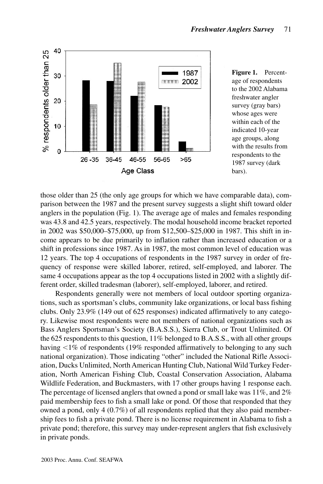

**Figure 1.** Percentage of respondents to the 2002 Alabama freshwater angler survey (gray bars) whose ages were within each of the indicated 10-year age groups, along with the results from respondents to the 1987 survey (dark bars).

those older than 25 (the only age groups for which we have comparable data), comparison between the 1987 and the present survey suggests a slight shift toward older anglers in the population (Fig. 1). The average age of males and females responding was 43.8 and 42.5 years, respectively. The modal household income bracket reported in 2002 was \$50,000–\$75,000, up from \$12,500–\$25,000 in 1987. This shift in income appears to be due primarily to inflation rather than increased education or a shift in professions since 1987. As in 1987, the most common level of education was 12 years. The top 4 occupations of respondents in the 1987 survey in order of frequency of response were skilled laborer, retired, self-employed, and laborer. The same 4 occupations appear as the top 4 occupations listed in 2002 with a slightly different order, skilled tradesman (laborer), self-employed, laborer, and retired.

Respondents generally were not members of local outdoor sporting organizations, such as sportsman's clubs, community lake organizations, or local bass fishing clubs. Only 23.9% (149 out of 625 responses) indicated affirmatively to any category. Likewise most respondents were not members of national organizations such as Bass Anglers Sportsman's Society (B.A.S.S.), Sierra Club, or Trout Unlimited. Of the 625 respondents to this question, 11% belonged to B.A.S.S., with all other groups having  $<$ 1% of respondents (19% responded affirmatively to belonging to any such national organization). Those indicating "other" included the National Rifle Association, Ducks Unlimited, North American Hunting Club, National Wild Turkey Federation, North American Fishing Club, Coastal Conservation Association, Alabama Wildlife Federation, and Buckmasters, with 17 other groups having 1 response each. The percentage of licensed anglers that owned a pond or small lake was 11%, and 2% paid membership fees to fish a small lake or pond. Of those that responded that they owned a pond, only 4 (0.7%) of all respondents replied that they also paid membership fees to fish a private pond. There is no license requirement in Alabama to fish a private pond; therefore, this survey may under-represent anglers that fish exclusively in private ponds.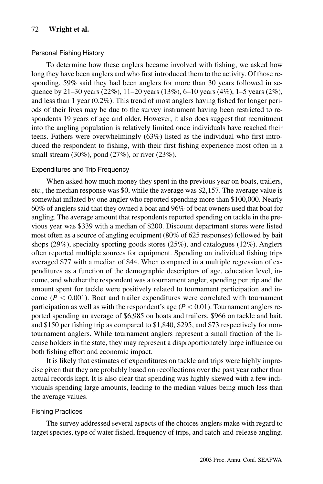### 72 **Wright et al.**

#### Personal Fishing History

To determine how these anglers became involved with fishing, we asked how long they have been anglers and who first introduced them to the activity. Of those responding, 59% said they had been anglers for more than 30 years followed in sequence by 21–30 years (22%), 11–20 years (13%), 6–10 years (4%), 1–5 years (2%), and less than 1 year (0.2%). This trend of most anglers having fished for longer periods of their lives may be due to the survey instrument having been restricted to respondents 19 years of age and older. However, it also does suggest that recruitment into the angling population is relatively limited once individuals have reached their teens. Fathers were overwhelmingly (63%) listed as the individual who first introduced the respondent to fishing, with their first fishing experience most often in a small stream (30%), pond (27%), or river (23%).

#### Expenditures and Trip Frequency

When asked how much money they spent in the previous year on boats, trailers, etc., the median response was \$0, while the average was \$2,157. The average value is somewhat inflated by one angler who reported spending more than \$100,000. Nearly 60% of anglers said that they owned a boat and 96% of boat owners used that boat for angling. The average amount that respondents reported spending on tackle in the previous year was \$339 with a median of \$200. Discount department stores were listed most often as a source of angling equipment (80% of 625 responses) followed by bait shops (29%), specialty sporting goods stores (25%), and catalogues (12%). Anglers often reported multiple sources for equipment. Spending on individual fishing trips averaged \$77 with a median of \$44. When compared in a multiple regression of expenditures as a function of the demographic descriptors of age, education level, income, and whether the respondent was a tournament angler, spending per trip and the amount spent for tackle were positively related to tournament participation and income ( $P < 0.001$ ). Boat and trailer expenditures were correlated with tournament participation as well as with the respondent's age  $(P < 0.01)$ . Tournament anglers reported spending an average of \$6,985 on boats and trailers, \$966 on tackle and bait, and \$150 per fishing trip as compared to \$1,840, \$295, and \$73 respectively for nontournament anglers. While tournament anglers represent a small fraction of the license holders in the state, they may represent a disproportionately large influence on both fishing effort and economic impact.

It is likely that estimates of expenditures on tackle and trips were highly imprecise given that they are probably based on recollections over the past year rather than actual records kept. It is also clear that spending was highly skewed with a few individuals spending large amounts, leading to the median values being much less than the average values.

#### Fishing Practices

The survey addressed several aspects of the choices anglers make with regard to target species, type of water fished, frequency of trips, and catch-and-release angling.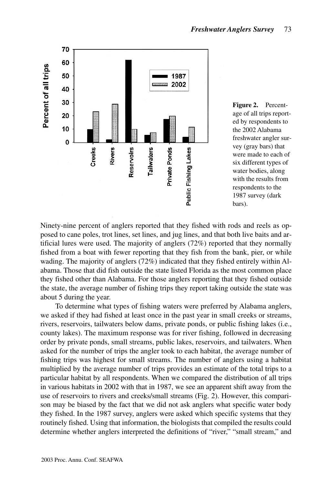



Ninety-nine percent of anglers reported that they fished with rods and reels as opposed to cane poles, trot lines, set lines, and jug lines, and that both live baits and artificial lures were used. The majority of anglers (72%) reported that they normally fished from a boat with fewer reporting that they fish from the bank, pier, or while wading. The majority of anglers (72%) indicated that they fished entirely within Alabama. Those that did fish outside the state listed Florida as the most common place they fished other than Alabama. For those anglers reporting that they fished outside the state, the average number of fishing trips they report taking outside the state was about 5 during the year.

To determine what types of fishing waters were preferred by Alabama anglers, we asked if they had fished at least once in the past year in small creeks or streams, rivers, reservoirs, tailwaters below dams, private ponds, or public fishing lakes (i.e., county lakes). The maximum response was for river fishing, followed in decreasing order by private ponds, small streams, public lakes, reservoirs, and tailwaters. When asked for the number of trips the angler took to each habitat, the average number of fishing trips was highest for small streams. The number of anglers using a habitat multiplied by the average number of trips provides an estimate of the total trips to a particular habitat by all respondents. When we compared the distribution of all trips in various habitats in 2002 with that in 1987, we see an apparent shift away from the use of reservoirs to rivers and creeks/small streams (Fig. 2). However, this comparison may be biased by the fact that we did not ask anglers what specific water body they fished. In the 1987 survey, anglers were asked which specific systems that they routinely fished. Using that information, the biologists that compiled the results could determine whether anglers interpreted the definitions of "river," "small stream," and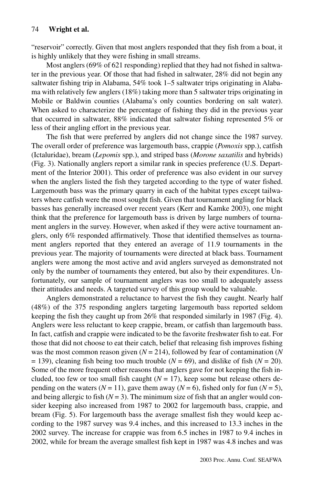"reservoir" correctly. Given that most anglers responded that they fish from a boat, it is highly unlikely that they were fishing in small streams.

Most anglers (69% of 621 responding) replied that they had not fished in saltwater in the previous year. Of those that had fished in saltwater, 28% did not begin any saltwater fishing trip in Alabama, 54% took 1–5 saltwater trips originating in Alabama with relatively few anglers (18%) taking more than 5 saltwater trips originating in Mobile or Baldwin counties (Alabama's only counties bordering on salt water). When asked to characterize the percentage of fishing they did in the previous year that occurred in saltwater, 88% indicated that saltwater fishing represented 5% or less of their angling effort in the previous year.

The fish that were preferred by anglers did not change since the 1987 survey. The overall order of preference was largemouth bass, crappie (*Pomoxis* spp.), catfish (Ictaluridae), bream (*Lepomis* spp.), and striped bass (*Morone saxatilis* and hybrids) (Fig. 3). Nationally anglers report a similar rank in species preference (U.S. Department of the Interior 2001). This order of preference was also evident in our survey when the anglers listed the fish they targeted according to the type of water fished. Largemouth bass was the primary quarry in each of the habitat types except tailwaters where catfish were the most sought fish. Given that tournament angling for black basses has generally increased over recent years (Kerr and Kamke 2003), one might think that the preference for largemouth bass is driven by large numbers of tournament anglers in the survey. However, when asked if they were active tournament anglers, only 6% responded affirmatively. Those that identified themselves as tournament anglers reported that they entered an average of 11.9 tournaments in the previous year. The majority of tournaments were directed at black bass. Tournament anglers were among the most active and avid anglers surveyed as demonstrated not only by the number of tournaments they entered, but also by their expenditures. Unfortunately, our sample of tournament anglers was too small to adequately assess their attitudes and needs. A targeted survey of this group would be valuable.

Anglers demonstrated a reluctance to harvest the fish they caught. Nearly half (48%) of the 375 responding anglers targeting largemouth bass reported seldom keeping the fish they caught up from 26% that responded similarly in 1987 (Fig. 4). Anglers were less reluctant to keep crappie, bream, or catfish than largemouth bass. In fact, catfish and crappie were indicated to be the favorite freshwater fish to eat. For those that did not choose to eat their catch, belief that releasing fish improves fishing was the most common reason given (*N* = 214), followed by fear of contamination (*N*  $= 139$ ), cleaning fish being too much trouble ( $N = 69$ ), and dislike of fish ( $N = 20$ ). Some of the more frequent other reasons that anglers gave for not keeping the fish included, too few or too small fish caught  $(N = 17)$ , keep some but release others depending on the waters ( $N = 11$ ), gave them away ( $N = 6$ ), fished only for fun ( $N = 5$ ), and being allergic to fish  $(N = 3)$ . The minimum size of fish that an angler would consider keeping also increased from 1987 to 2002 for largemouth bass, crappie, and bream (Fig. 5). For largemouth bass the average smallest fish they would keep according to the 1987 survey was 9.4 inches, and this increased to 13.3 inches in the 2002 survey. The increase for crappie was from 6.5 inches in 1987 to 9.4 inches in 2002, while for bream the average smallest fish kept in 1987 was 4.8 inches and was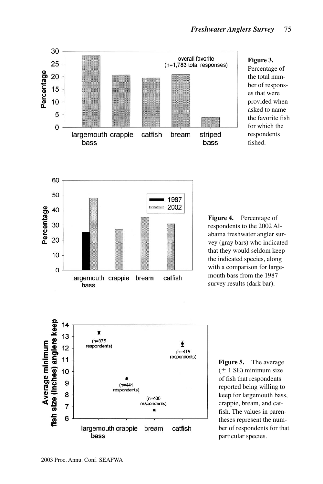

#### **Figure 3.** Percentage of the total number of responses that were provided when asked to name the favorite fish for which the respondents fished.



**Figure 4.** Percentage of respondents to the 2002 Alabama freshwater angler survey (gray bars) who indicated that they would seldom keep the indicated species, along with a comparison for largemouth bass from the 1987 survey results (dark bar).



**Figure 5.** The average  $(± 1 SE)$  minimum size of fish that respondents reported being willing to keep for largemouth bass, crappie, bream, and catfish. The values in parentheses represent the number of respondents for that particular species.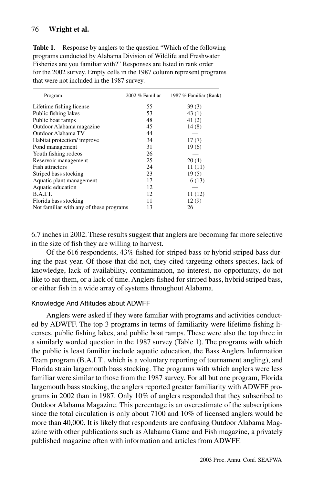# 76 **Wright et al.**

**Table 1.** Response by anglers to the question "Which of the following programs conducted by Alabama Division of Wildlife and Freshwater Fisheries are you familiar with?" Responses are listed in rank order for the 2002 survey. Empty cells in the 1987 column represent programs that were not included in the 1987 survey.

| Program                                 | 2002 % Familiar | 1987 % Familiar (Rank) |
|-----------------------------------------|-----------------|------------------------|
| Lifetime fishing license                | 55              | 39(3)                  |
| Public fishing lakes                    | 53              | 43 (1)                 |
| Public boat ramps                       | 48              | 41(2)                  |
| Outdoor Alabama magazine                | 45              | 14(8)                  |
| Outdoor Alabama TV                      | 44              |                        |
| Habitat protection/improve              | 34              | 17(7)                  |
| Pond management                         | 31              | 19(6)                  |
| Youth fishing rodeos                    | 26              |                        |
| Reservoir management                    | 25              | 20(4)                  |
| <b>Fish attractors</b>                  | 24              | 11(11)                 |
| Striped bass stocking                   | 23              | 19(5)                  |
| Aquatic plant management                | 17              | 6(13)                  |
| Aquatic education                       | 12              |                        |
| B.A.I.T.                                | 12              | 11(12)                 |
| Florida bass stocking                   | 11              | 12(9)                  |
| Not familiar with any of these programs | 13              | 26                     |

6.7 inches in 2002. These results suggest that anglers are becoming far more selective in the size of fish they are willing to harvest.

Of the 616 respondents, 43% fished for striped bass or hybrid striped bass during the past year. Of those that did not, they cited targeting others species, lack of knowledge, lack of availability, contamination, no interest, no opportunity, do not like to eat them, or a lack of time. Anglers fished for striped bass, hybrid striped bass, or either fish in a wide array of systems throughout Alabama.

#### Knowledge And Attitudes about ADWFF

Anglers were asked if they were familiar with programs and activities conducted by ADWFF. The top 3 programs in terms of familiarity were lifetime fishing licenses, public fishing lakes, and public boat ramps. These were also the top three in a similarly worded question in the 1987 survey (Table 1). The programs with which the public is least familiar include aquatic education, the Bass Anglers Information Team program (B.A.I.T., which is a voluntary reporting of tournament angling), and Florida strain largemouth bass stocking. The programs with which anglers were less familiar were similar to those from the 1987 survey. For all but one program, Florida largemouth bass stocking, the anglers reported greater familiarity with ADWFF programs in 2002 than in 1987. Only 10% of anglers responded that they subscribed to Outdoor Alabama Magazine. This percentage is an overestimate of the subscriptions since the total circulation is only about 7100 and 10% of licensed anglers would be more than 40,000. It is likely that respondents are confusing Outdoor Alabama Magazine with other publications such as Alabama Game and Fish magazine, a privately published magazine often with information and articles from ADWFF.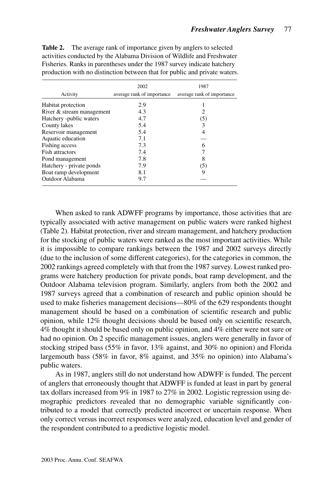|                           | 2002                       | 1987                       |
|---------------------------|----------------------------|----------------------------|
|                           |                            |                            |
| Activity                  | average rank of importance | average rank of importance |
| Habitat protection        | 2.9                        |                            |
| River & stream management | 4.3                        | 2                          |
| Hatchery -public waters   | 4.7                        | (5)                        |
| County lakes              | 5.4                        | 3                          |
| Reservoir management      | 5.4                        | 4                          |
| Aquatic education         | 7.1                        |                            |
| Fishing access            | 7.3                        | 6                          |
| Fish attractors           | 7.4                        |                            |
| Pond management           | 7.8                        | 8                          |
| Hatchery - private ponds  | 7.9                        | (5)                        |
| Boat ramp development     | 8.1                        | 9                          |
| Outdoor Alabama           | 9.7                        |                            |

**Table 2.** The average rank of importance given by anglers to selected activities conducted by the Alabama Division of Wildlife and Freshwater Fisheries. Ranks in parentheses under the 1987 survey indicate hatchery production with no distinction between that for public and private waters.

When asked to rank ADWFF programs by importance, those activities that are typically associated with active management on public waters were ranked highest (Table 2). Habitat protection, river and stream management, and hatchery production for the stocking of public waters were ranked as the most important activities. While it is impossible to compare rankings between the 1987 and 2002 surveys directly (due to the inclusion of some different categories), for the categories in common, the 2002 rankings agreed completely with that from the 1987 survey. Lowest ranked programs were hatchery production for private ponds, boat ramp development, and the Outdoor Alabama television program. Similarly, anglers from both the 2002 and 1987 surveys agreed that a combination of research and public opinion should be used to make fisheries management decisions—80% of the 629 respondents thought management should be based on a combination of scientific research and public opinion, while 12% thought decisions should be based only on scientific research, 4% thought it should be based only on public opinion, and 4% either were not sure or had no opinion. On 2 specific management issues, anglers were generally in favor of stocking striped bass (55% in favor, 13% against, and 30% no opinion) and Florida largemouth bass (58% in favor, 8% against, and 35% no opinion) into Alabama's public waters.

As in 1987, anglers still do not understand how ADWFF is funded. The percent of anglers that erroneously thought that ADWFF is funded at least in part by general tax dollars increased from 9% in 1987 to 27% in 2002. Logistic regression using demographic predictors revealed that no demographic variable significantly contributed to a model that correctly predicted incorrect or uncertain response. When only correct versus incorrect responses were analyzed, education level and gender of the respondent contributed to a predictive logistic model.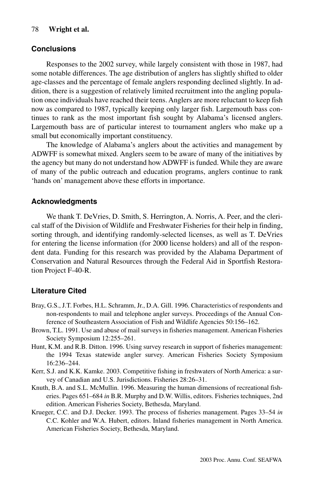### 78 **Wright et al.**

# **Conclusions**

Responses to the 2002 survey, while largely consistent with those in 1987, had some notable differences. The age distribution of anglers has slightly shifted to older age-classes and the percentage of female anglers responding declined slightly. In addition, there is a suggestion of relatively limited recruitment into the angling population once individuals have reached their teens. Anglers are more reluctant to keep fish now as compared to 1987, typically keeping only larger fish. Largemouth bass continues to rank as the most important fish sought by Alabama's licensed anglers. Largemouth bass are of particular interest to tournament anglers who make up a small but economically important constituency.

The knowledge of Alabama's anglers about the activities and management by ADWFF is somewhat mixed. Anglers seem to be aware of many of the initiatives by the agency but many do not understand how ADWFF is funded. While they are aware of many of the public outreach and education programs, anglers continue to rank 'hands on' management above these efforts in importance.

# **Acknowledgments**

We thank T. DeVries, D. Smith, S. Herrington, A. Norris, A. Peer, and the clerical staff of the Division of Wildlife and Freshwater Fisheries for their help in finding, sorting through, and identifying randomly-selected licenses, as well as T. DeVries for entering the license information (for 2000 license holders) and all of the respondent data. Funding for this research was provided by the Alabama Department of Conservation and Natural Resources through the Federal Aid in Sportfish Restoration Project F-40-R.

# **Literature Cited**

- Bray, G.S., J.T. Forbes, H.L. Schramm, Jr., D.A. Gill. 1996. Characteristics of respondents and non-respondents to mail and telephone angler surveys. Proceedings of the Annual Conference of Southeastern Association of Fish and Wildlife Agencies 50:156–162.
- Brown, T.L. 1991. Use and abuse of mail surveys in fisheries management. American Fisheries Society Symposium 12:255–261.
- Hunt, K.M. and R.B. Ditton. 1996. Using survey research in support of fisheries management: the 1994 Texas statewide angler survey. American Fisheries Society Symposium 16:236–244.
- Kerr, S.J. and K.K. Kamke. 2003. Competitive fishing in freshwaters of North America: a survey of Canadian and U.S. Jurisdictions. Fisheries 28:26–31.
- Knuth, B.A. and S.L. McMullin. 1996. Measuring the human dimensions of recreational fisheries. Pages 651–684 *in* B.R. Murphy and D.W. Willis, editors. Fisheries techniques, 2nd edition. American Fisheries Society, Bethesda, Maryland.
- Krueger, C.C. and D.J. Decker. 1993. The process of fisheries management. Pages 33–54 *in* C.C. Kohler and W.A. Hubert, editors. Inland fisheries management in North America. American Fisheries Society, Bethesda, Maryland.